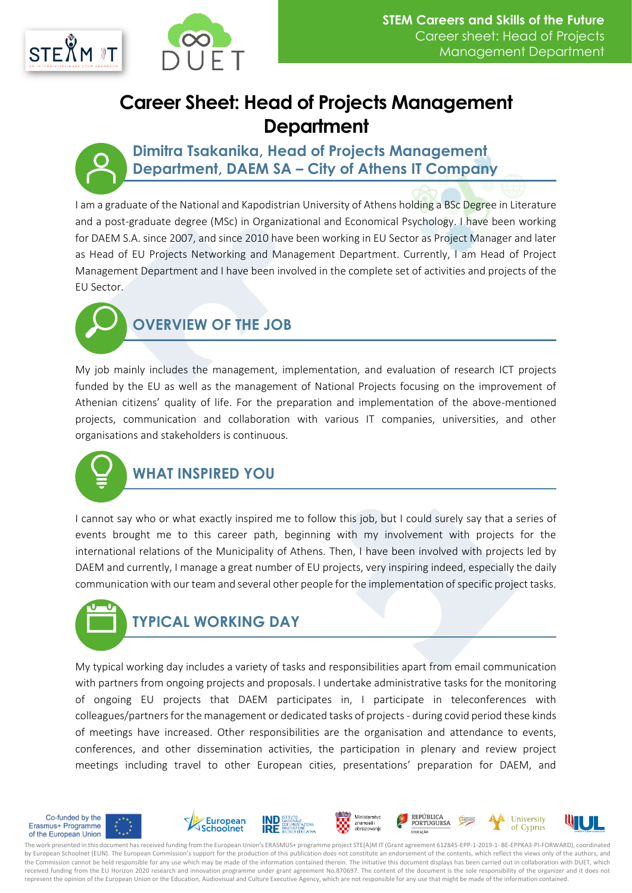

# **Career Sheet: Head of Projects Management Department**

**Dimitra Tsakanika, Head of Projects Management Department, DAEM SA – City of Athens IT Company**

I am a graduate of the National and Kapodistrian University of Athens holding a BSc Degree in Literature and a post-graduate degree (MSc) in Organizational and Economical Psychology. I have been working for DAEM S.A. since 2007, and since 2010 have been working in EU Sector as Project Manager and later as Head of EU Projects Networking and Management Department. Currently, I am Head of Project Management Department and I have been involved in the complete set of activities and projects of the EU Sector.



# **OVERVIEW OF THE JOB**

My job mainly includes the management, implementation, and evaluation of research ICT projects funded by the EU as well as the management of National Projects focusing on the improvement of Athenian citizens' quality of life. For the preparation and implementation of the above-mentioned projects, communication and collaboration with various IT companies, universities, and other organisations and stakeholders is continuous.



### **WHAT INSPIRED YOU**

I cannot say who or what exactly inspired me to follow this job, but I could surely say that a series of events brought me to this career path, beginning with my involvement with projects for the international relations of the Municipality of Athens. Then, I have been involved with projects led by DAEM and currently, I manage a great number of EU projects, very inspiring indeed, especially the daily communication with our team and several other people for the implementation of specific project tasks.



My typical working day includes a variety of tasks and responsibilities apart from email communication with partners from ongoing projects and proposals. I undertake administrative tasks for the monitoring of ongoing EU projects that DAEM participates in, I participate in teleconferences with colleagues/partners for the management or dedicated tasks of projects - during covid period these kinds of meetings have increased. Other responsibilities are the organisation and attendance to events, conferences, and other dissemination activities, the participation in plenary and review project meetings including travel to other European cities, presentations' preparation for DAEM, and



The work presented in this document has received funding from the European Union's ERASMUS+ programme project STE(A)M IT (Grant agreement 612845-EPP-1-2019-1- BE-EPPKA3-PI-FORWARD), coordinated by European Schoolnet (EUN). The European Commission's support for the production of this publication does not constitute an endorsement of the contents, which reflect the views only of the authors, and the Commission cannot be held responsible for any use which may be made of the information contained therein. The initiative this document displays has been carried out in collaboration with DUET, which received funding from the EU Horizon 2020 research and innovation programme under grant agreement No.870697. The content of the document is the sole responsibility of the organizer and it does not represent the opinion of the European Union or the Education, Audiovisual and Culture Executive Agency, which are not responsible for any use that might be made of the information contained.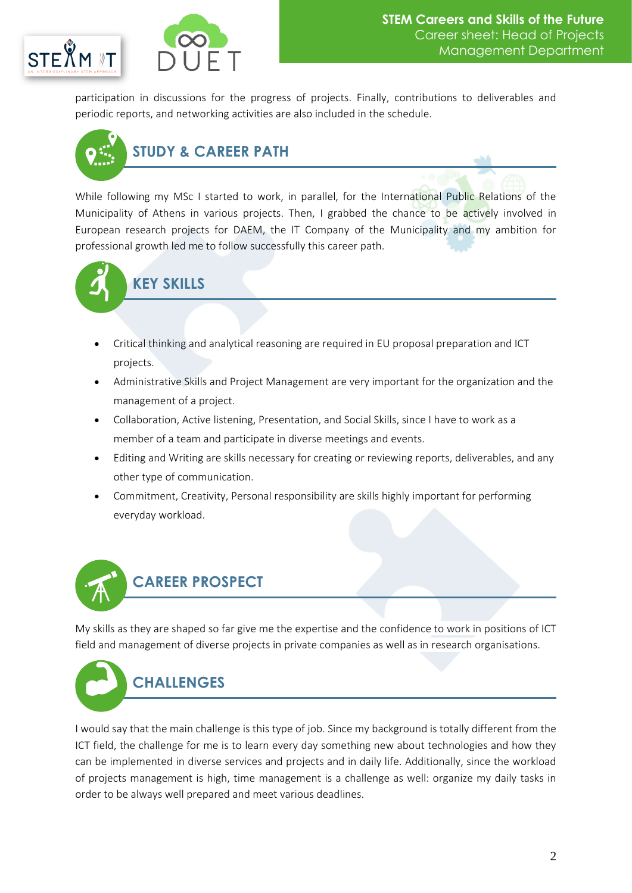



participation in discussions for the progress of projects. Finally, contributions to deliverables and periodic reports, and networking activities are also included in the schedule.



While following my MSc I started to work, in parallel, for the International Public Relations of the Municipality of Athens in various projects. Then, I grabbed the chance to be actively involved in European research projects for DAEM, the IT Company of the Municipality and my ambition for professional growth led me to follow successfully this career path.



### **KEY SKILLS**

- Critical thinking and analytical reasoning are required in EU proposal preparation and ICT projects.
- Administrative Skills and Project Management are very important for the organization and the management of a project.
- Collaboration, Active listening, Presentation, and Social Skills, since I have to work as a member of a team and participate in diverse meetings and events.
- Editing and Writing are skills necessary for creating or reviewing reports, deliverables, and any other type of communication.
- Commitment, Creativity, Personal responsibility are skills highly important for performing everyday workload.



My skills as they are shaped so far give me the expertise and the confidence to work in positions of ICT field and management of diverse projects in private companies as well as in research organisations.



I would say that the main challenge is this type of job. Since my background is totally different from the ICT field, the challenge for me is to learn every day something new about technologies and how they can be implemented in diverse services and projects and in daily life. Additionally, since the workload of projects management is high, time management is a challenge as well: organize my daily tasks in order to be always well prepared and meet various deadlines.